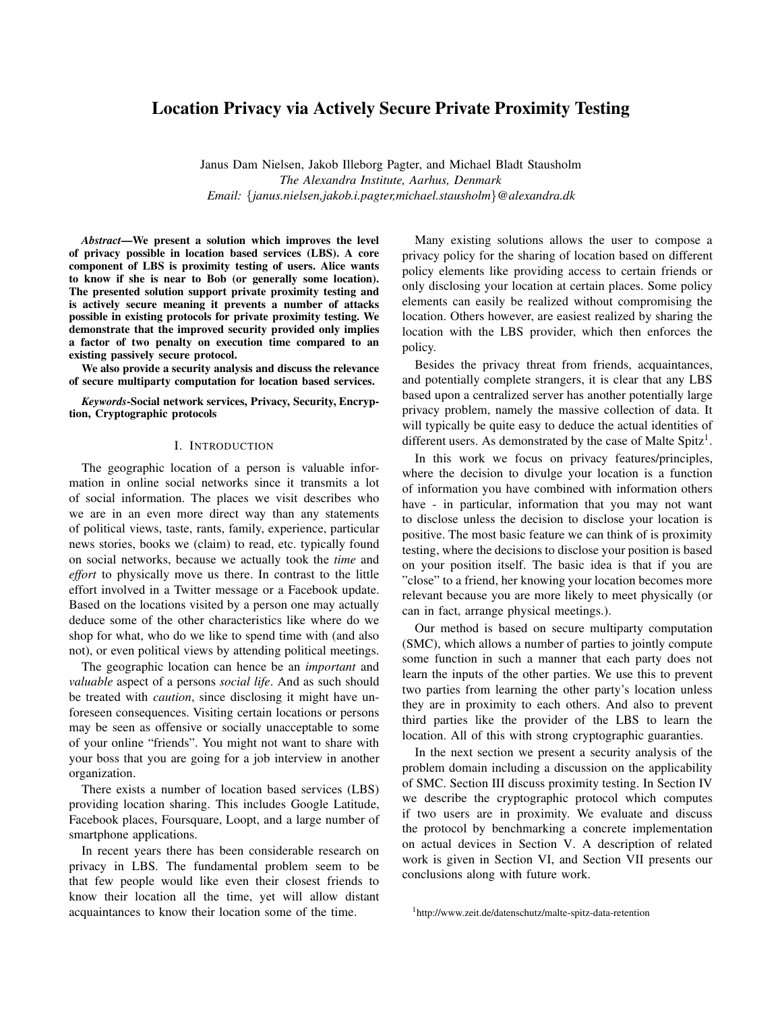# **Location Privacy via Actively Secure Private Proximity Testing**

Janus Dam Nielsen, Jakob Illeborg Pagter, and Michael Bladt Stausholm *The Alexandra Institute, Aarhus, Denmark Email:* {*janus.nielsen,jakob.i.pagter,michael.stausholm*}*@alexandra.dk*

*Abstract***—We present a solution which improves the level of privacy possible in location based services (LBS). A core component of LBS is proximity testing of users. Alice wants to know if she is near to Bob (or generally some location). The presented solution support private proximity testing and is actively secure meaning it prevents a number of attacks possible in existing protocols for private proximity testing. We demonstrate that the improved security provided only implies a factor of two penalty on execution time compared to an existing passively secure protocol.**

**We also provide a security analysis and discuss the relevance of secure multiparty computation for location based services.**

*Keywords***-Social network services, Privacy, Security, Encryption, Cryptographic protocols**

#### I. INTRODUCTION

The geographic location of a person is valuable information in online social networks since it transmits a lot of social information. The places we visit describes who we are in an even more direct way than any statements of political views, taste, rants, family, experience, particular news stories, books we (claim) to read, etc. typically found on social networks, because we actually took the *time* and *effort* to physically move us there. In contrast to the little effort involved in a Twitter message or a Facebook update. Based on the locations visited by a person one may actually deduce some of the other characteristics like where do we shop for what, who do we like to spend time with (and also not), or even political views by attending political meetings.

The geographic location can hence be an *important* and *valuable* aspect of a persons *social life*. And as such should be treated with *caution*, since disclosing it might have unforeseen consequences. Visiting certain locations or persons may be seen as offensive or socially unacceptable to some of your online "friends". You might not want to share with your boss that you are going for a job interview in another organization.

There exists a number of location based services (LBS) providing location sharing. This includes Google Latitude, Facebook places, Foursquare, Loopt, and a large number of smartphone applications.

In recent years there has been considerable research on privacy in LBS. The fundamental problem seem to be that few people would like even their closest friends to know their location all the time, yet will allow distant acquaintances to know their location some of the time.

Many existing solutions allows the user to compose a privacy policy for the sharing of location based on different policy elements like providing access to certain friends or only disclosing your location at certain places. Some policy elements can easily be realized without compromising the location. Others however, are easiest realized by sharing the location with the LBS provider, which then enforces the policy.

Besides the privacy threat from friends, acquaintances, and potentially complete strangers, it is clear that any LBS based upon a centralized server has another potentially large privacy problem, namely the massive collection of data. It will typically be quite easy to deduce the actual identities of different users. As demonstrated by the case of Malte Spitz<sup>1</sup>.

In this work we focus on privacy features/principles, where the decision to divulge your location is a function of information you have combined with information others have - in particular, information that you may not want to disclose unless the decision to disclose your location is positive. The most basic feature we can think of is proximity testing, where the decisions to disclose your position is based on your position itself. The basic idea is that if you are "close" to a friend, her knowing your location becomes more relevant because you are more likely to meet physically (or can in fact, arrange physical meetings.).

Our method is based on secure multiparty computation (SMC), which allows a number of parties to jointly compute some function in such a manner that each party does not learn the inputs of the other parties. We use this to prevent two parties from learning the other party's location unless they are in proximity to each others. And also to prevent third parties like the provider of the LBS to learn the location. All of this with strong cryptographic guaranties.

In the next section we present a security analysis of the problem domain including a discussion on the applicability of SMC. Section III discuss proximity testing. In Section IV we describe the cryptographic protocol which computes if two users are in proximity. We evaluate and discuss the protocol by benchmarking a concrete implementation on actual devices in Section V. A description of related work is given in Section VI, and Section VII presents our conclusions along with future work.

<sup>1</sup>http://www.zeit.de/datenschutz/malte-spitz-data-retention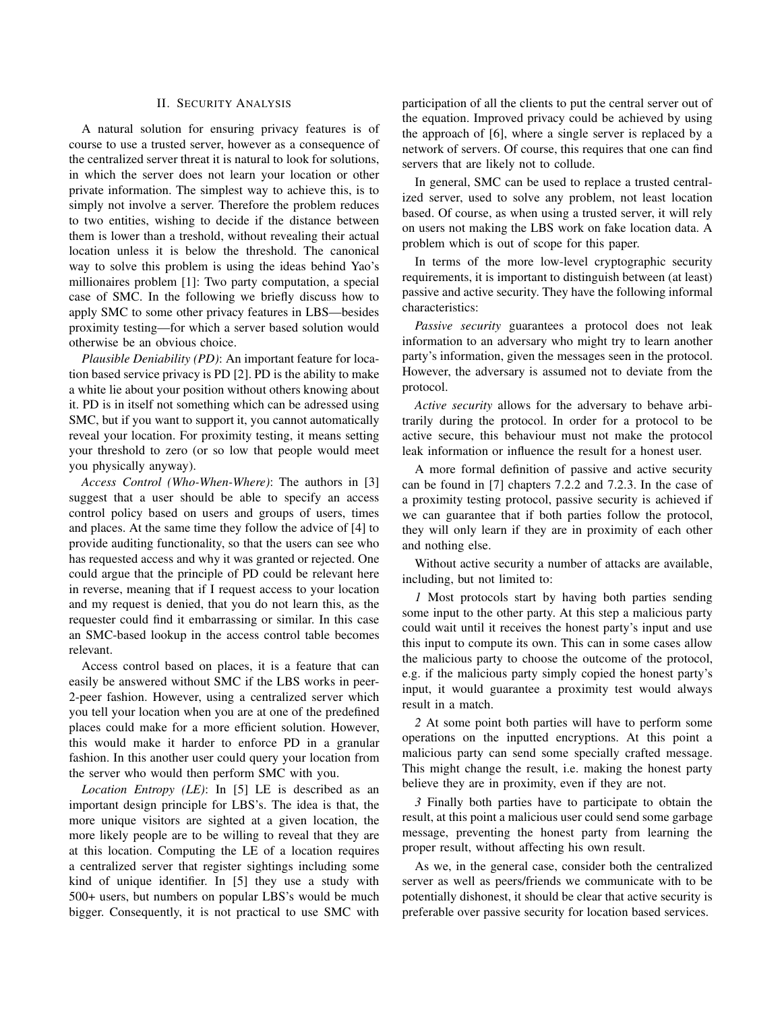## II. SECURITY ANALYSIS

A natural solution for ensuring privacy features is of course to use a trusted server, however as a consequence of the centralized server threat it is natural to look for solutions, in which the server does not learn your location or other private information. The simplest way to achieve this, is to simply not involve a server. Therefore the problem reduces to two entities, wishing to decide if the distance between them is lower than a treshold, without revealing their actual location unless it is below the threshold. The canonical way to solve this problem is using the ideas behind Yao's millionaires problem [1]: Two party computation, a special case of SMC. In the following we briefly discuss how to apply SMC to some other privacy features in LBS—besides proximity testing—for which a server based solution would otherwise be an obvious choice.

*Plausible Deniability (PD)*: An important feature for location based service privacy is PD [2]. PD is the ability to make a white lie about your position without others knowing about it. PD is in itself not something which can be adressed using SMC, but if you want to support it, you cannot automatically reveal your location. For proximity testing, it means setting your threshold to zero (or so low that people would meet you physically anyway).

*Access Control (Who-When-Where)*: The authors in [3] suggest that a user should be able to specify an access control policy based on users and groups of users, times and places. At the same time they follow the advice of [4] to provide auditing functionality, so that the users can see who has requested access and why it was granted or rejected. One could argue that the principle of PD could be relevant here in reverse, meaning that if I request access to your location and my request is denied, that you do not learn this, as the requester could find it embarrassing or similar. In this case an SMC-based lookup in the access control table becomes relevant.

Access control based on places, it is a feature that can easily be answered without SMC if the LBS works in peer-2-peer fashion. However, using a centralized server which you tell your location when you are at one of the predefined places could make for a more efficient solution. However, this would make it harder to enforce PD in a granular fashion. In this another user could query your location from the server who would then perform SMC with you.

*Location Entropy (LE)*: In [5] LE is described as an important design principle for LBS's. The idea is that, the more unique visitors are sighted at a given location, the more likely people are to be willing to reveal that they are at this location. Computing the LE of a location requires a centralized server that register sightings including some kind of unique identifier. In [5] they use a study with 500+ users, but numbers on popular LBS's would be much bigger. Consequently, it is not practical to use SMC with participation of all the clients to put the central server out of the equation. Improved privacy could be achieved by using the approach of [6], where a single server is replaced by a network of servers. Of course, this requires that one can find servers that are likely not to collude.

In general, SMC can be used to replace a trusted centralized server, used to solve any problem, not least location based. Of course, as when using a trusted server, it will rely on users not making the LBS work on fake location data. A problem which is out of scope for this paper.

In terms of the more low-level cryptographic security requirements, it is important to distinguish between (at least) passive and active security. They have the following informal characteristics:

*Passive security* guarantees a protocol does not leak information to an adversary who might try to learn another party's information, given the messages seen in the protocol. However, the adversary is assumed not to deviate from the protocol.

*Active security* allows for the adversary to behave arbitrarily during the protocol. In order for a protocol to be active secure, this behaviour must not make the protocol leak information or influence the result for a honest user.

A more formal definition of passive and active security can be found in [7] chapters 7.2.2 and 7.2.3. In the case of a proximity testing protocol, passive security is achieved if we can guarantee that if both parties follow the protocol, they will only learn if they are in proximity of each other and nothing else.

Without active security a number of attacks are available, including, but not limited to:

*1* Most protocols start by having both parties sending some input to the other party. At this step a malicious party could wait until it receives the honest party's input and use this input to compute its own. This can in some cases allow the malicious party to choose the outcome of the protocol, e.g. if the malicious party simply copied the honest party's input, it would guarantee a proximity test would always result in a match.

*2* At some point both parties will have to perform some operations on the inputted encryptions. At this point a malicious party can send some specially crafted message. This might change the result, i.e. making the honest party believe they are in proximity, even if they are not.

*3* Finally both parties have to participate to obtain the result, at this point a malicious user could send some garbage message, preventing the honest party from learning the proper result, without affecting his own result.

As we, in the general case, consider both the centralized server as well as peers/friends we communicate with to be potentially dishonest, it should be clear that active security is preferable over passive security for location based services.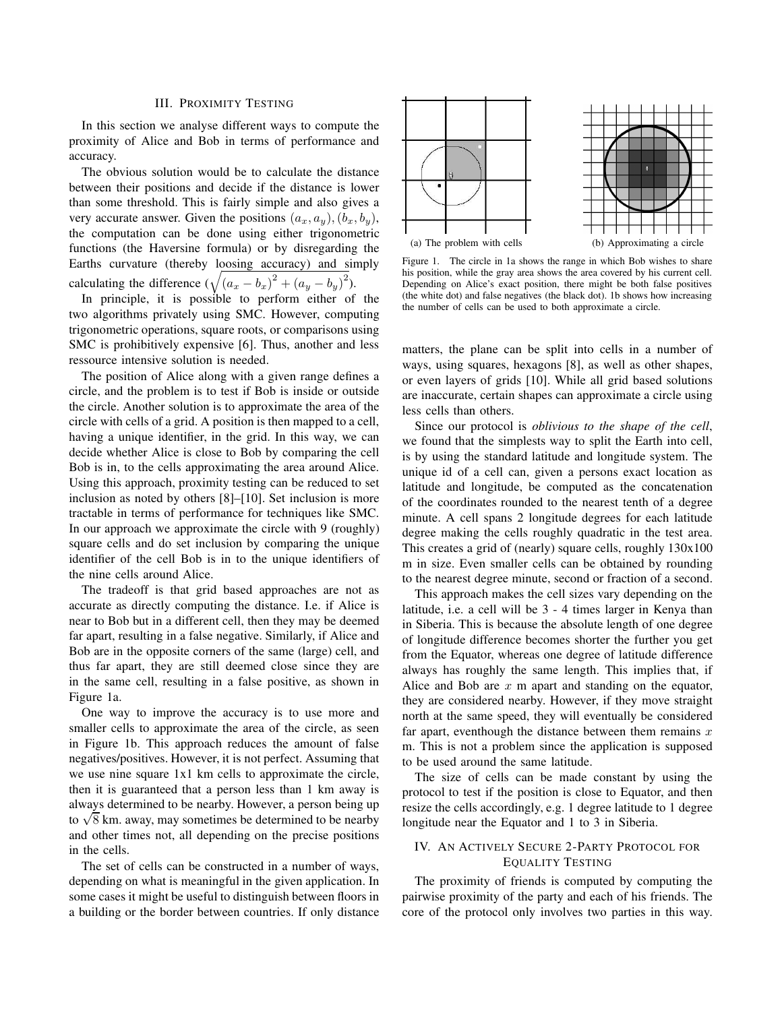#### III. PROXIMITY TESTING

In this section we analyse different ways to compute the proximity of Alice and Bob in terms of performance and accuracy.

The obvious solution would be to calculate the distance between their positions and decide if the distance is lower than some threshold. This is fairly simple and also gives a very accurate answer. Given the positions  $(a_x, a_y), (b_x, b_y)$ , the computation can be done using either trigonometric functions (the Haversine formula) or by disregarding the Earths curvature (thereby loosing accuracy) and simply calculating the difference  $(\sqrt{(a_x - b_x)^2 + (a_y - b_y)^2})$ .

In principle, it is possible to perform either of the two algorithms privately using SMC. However, computing trigonometric operations, square roots, or comparisons using SMC is prohibitively expensive [6]. Thus, another and less ressource intensive solution is needed.

The position of Alice along with a given range defines a circle, and the problem is to test if Bob is inside or outside the circle. Another solution is to approximate the area of the circle with cells of a grid. A position is then mapped to a cell, having a unique identifier, in the grid. In this way, we can decide whether Alice is close to Bob by comparing the cell Bob is in, to the cells approximating the area around Alice. Using this approach, proximity testing can be reduced to set inclusion as noted by others [8]–[10]. Set inclusion is more tractable in terms of performance for techniques like SMC. In our approach we approximate the circle with 9 (roughly) square cells and do set inclusion by comparing the unique identifier of the cell Bob is in to the unique identifiers of the nine cells around Alice.

The tradeoff is that grid based approaches are not as accurate as directly computing the distance. I.e. if Alice is near to Bob but in a different cell, then they may be deemed far apart, resulting in a false negative. Similarly, if Alice and Bob are in the opposite corners of the same (large) cell, and thus far apart, they are still deemed close since they are in the same cell, resulting in a false positive, as shown in Figure 1a.

One way to improve the accuracy is to use more and smaller cells to approximate the area of the circle, as seen in Figure 1b. This approach reduces the amount of false negatives/positives. However, it is not perfect. Assuming that we use nine square 1x1 km cells to approximate the circle, then it is guaranteed that a person less than 1 km away is always determined to be nearby. However, a person being up  $\frac{1}{8}$  km. away, may sometimes be determined to be nearby and other times not, all depending on the precise positions in the cells.

The set of cells can be constructed in a number of ways, depending on what is meaningful in the given application. In some cases it might be useful to distinguish between floors in a building or the border between countries. If only distance



Figure 1. The circle in 1a shows the range in which Bob wishes to share his position, while the gray area shows the area covered by his current cell. Depending on Alice's exact position, there might be both false positives (the white dot) and false negatives (the black dot). 1b shows how increasing the number of cells can be used to both approximate a circle.

matters, the plane can be split into cells in a number of ways, using squares, hexagons [8], as well as other shapes, or even layers of grids [10]. While all grid based solutions are inaccurate, certain shapes can approximate a circle using less cells than others.

Since our protocol is *oblivious to the shape of the cell*, we found that the simplests way to split the Earth into cell, is by using the standard latitude and longitude system. The unique id of a cell can, given a persons exact location as latitude and longitude, be computed as the concatenation of the coordinates rounded to the nearest tenth of a degree minute. A cell spans 2 longitude degrees for each latitude degree making the cells roughly quadratic in the test area. This creates a grid of (nearly) square cells, roughly 130x100 m in size. Even smaller cells can be obtained by rounding to the nearest degree minute, second or fraction of a second.

This approach makes the cell sizes vary depending on the latitude, i.e. a cell will be 3 - 4 times larger in Kenya than in Siberia. This is because the absolute length of one degree of longitude difference becomes shorter the further you get from the Equator, whereas one degree of latitude difference always has roughly the same length. This implies that, if Alice and Bob are  $x$  m apart and standing on the equator, they are considered nearby. However, if they move straight north at the same speed, they will eventually be considered far apart, eventhough the distance between them remains  $x$ m. This is not a problem since the application is supposed to be used around the same latitude.

The size of cells can be made constant by using the protocol to test if the position is close to Equator, and then resize the cells accordingly, e.g. 1 degree latitude to 1 degree longitude near the Equator and 1 to 3 in Siberia.

## IV. AN ACTIVELY SECURE 2-PARTY PROTOCOL FOR EQUALITY TESTING

The proximity of friends is computed by computing the pairwise proximity of the party and each of his friends. The core of the protocol only involves two parties in this way.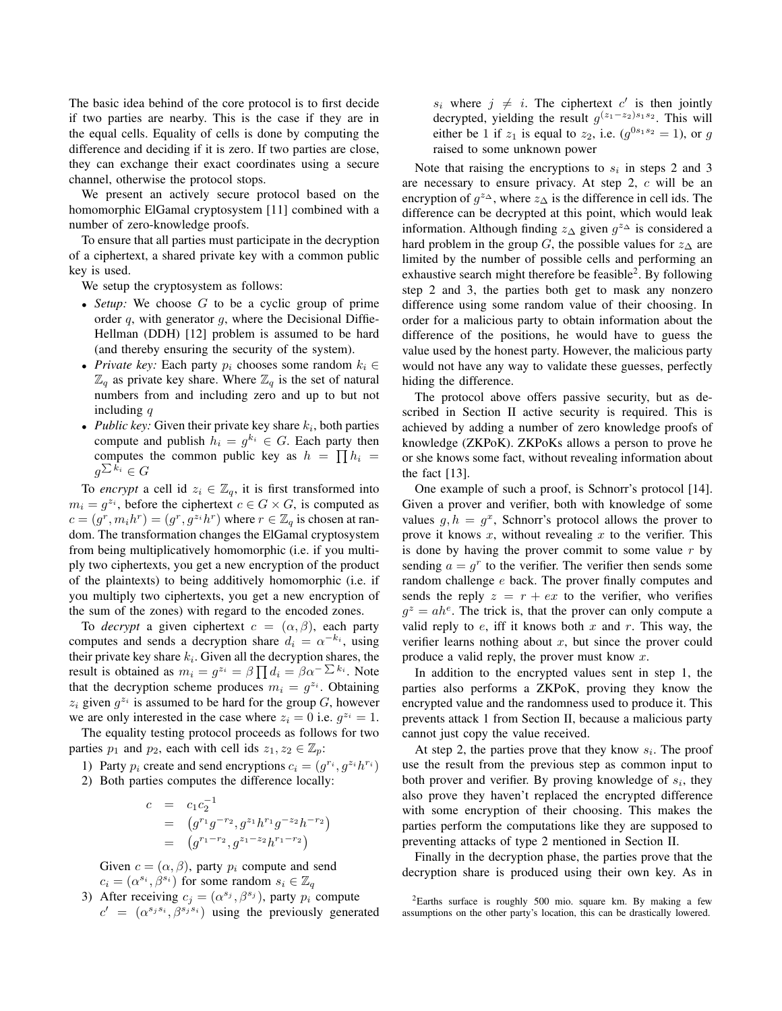The basic idea behind of the core protocol is to first decide if two parties are nearby. This is the case if they are in the equal cells. Equality of cells is done by computing the difference and deciding if it is zero. If two parties are close, they can exchange their exact coordinates using a secure channel, otherwise the protocol stops.

We present an actively secure protocol based on the homomorphic ElGamal cryptosystem [11] combined with a number of zero-knowledge proofs.

To ensure that all parties must participate in the decryption of a ciphertext, a shared private key with a common public key is used.

We setup the cryptosystem as follows:

- *Setup:* We choose G to be a cyclic group of prime order  $q$ , with generator  $q$ , where the Decisional Diffie-Hellman (DDH) [12] problem is assumed to be hard (and thereby ensuring the security of the system).
- *Private key:* Each party  $p_i$  chooses some random  $k_i \in$  $\mathbb{Z}_q$  as private key share. Where  $\mathbb{Z}_q$  is the set of natural numbers from and including zero and up to but not including  $q$
- *Public key:* Given their private key share  $k_i$ , both parties compute and publish  $h_i = g^{k_i} \in G$ . Each party then computes the common public key as  $h = \prod h_i =$  $g^{\sum k_i} \in G$

To *encrypt* a cell id  $z_i \in \mathbb{Z}_q$ , it is first transformed into  $m_i = g^{z_i}$ , before the ciphertext  $c \in G \times G$ , is computed as  $c = (g^r, m_i h^r) = (g^r, g^{z_i} h^r)$  where  $r \in \mathbb{Z}_q$  is chosen at random. The transformation changes the ElGamal cryptosystem from being multiplicatively homomorphic (i.e. if you multiply two ciphertexts, you get a new encryption of the product of the plaintexts) to being additively homomorphic (i.e. if you multiply two ciphertexts, you get a new encryption of the sum of the zones) with regard to the encoded zones.

To *decrypt* a given ciphertext  $c = (\alpha, \beta)$ , each party computes and sends a decryption share  $d_i = \alpha^{-k_i}$ , using their private key share  $k_i$ . Given all the decryption shares, the result is obtained as  $m_i = g^{z_i} = \beta \prod d_i = \beta \alpha^{-\sum k_i}$ . Note that the decryption scheme produces  $m_i = g^{z_i}$ . Obtaining  $z_i$  given  $g^{z_i}$  is assumed to be hard for the group G, however we are only interested in the case where  $z_i = 0$  i.e.  $g^{z_i} = 1$ .

The equality testing protocol proceeds as follows for two parties  $p_1$  and  $p_2$ , each with cell ids  $z_1, z_2 \in \mathbb{Z}_p$ :

- 1) Party  $p_i$  create and send encryptions  $c_i = (g^{r_i}, g^{z_i}h^{r_i})$
- 2) Both parties computes the difference locally:

$$
c = c_1 c_2^{-1}
$$
  
=  $(g^{r_1} g^{-r_2}, g^{z_1} h^{r_1} g^{-z_2} h^{-r_2})$   
=  $(g^{r_1-r_2}, g^{z_1-z_2} h^{r_1-r_2})$ 

Given  $c = (\alpha, \beta)$ , party  $p_i$  compute and send  $c_i = (\alpha^{s_i}, \beta^{s_i})$  for some random  $s_i \in \mathbb{Z}_q$ 

3) After receiving  $c_j = (\alpha^{s_j}, \beta^{s_j})$ , party  $p_i$  compute  $c' = (\alpha^{s_j s_i}, \beta^{s_j s_i})$  using the previously generated

 $s_i$  where  $j \neq i$ . The ciphertext c' is then jointly decrypted, yielding the result  $g^{(z_1-z_2)s_1s_2}$ . This will either be 1 if  $z_1$  is equal to  $z_2$ , i.e.  $(g^{0s_1s_2} = 1)$ , or g raised to some unknown power

Note that raising the encryptions to  $s_i$  in steps 2 and 3 are necessary to ensure privacy. At step 2, c will be an encryption of  $g^{z_{\Delta}}$ , where  $z_{\Delta}$  is the difference in cell ids. The difference can be decrypted at this point, which would leak information. Although finding  $z_{\Delta}$  given  $g^{z_{\Delta}}$  is considered a hard problem in the group G, the possible values for  $z_\Delta$  are limited by the number of possible cells and performing an exhaustive search might therefore be feasible<sup>2</sup>. By following step 2 and 3, the parties both get to mask any nonzero difference using some random value of their choosing. In order for a malicious party to obtain information about the difference of the positions, he would have to guess the value used by the honest party. However, the malicious party would not have any way to validate these guesses, perfectly hiding the difference.

The protocol above offers passive security, but as described in Section II active security is required. This is achieved by adding a number of zero knowledge proofs of knowledge (ZKPoK). ZKPoKs allows a person to prove he or she knows some fact, without revealing information about the fact [13].

One example of such a proof, is Schnorr's protocol [14]. Given a prover and verifier, both with knowledge of some values  $g, h = g^x$ , Schnorr's protocol allows the prover to prove it knows x, without revealing x to the verifier. This is done by having the prover commit to some value  $r$  by sending  $a = g^r$  to the verifier. The verifier then sends some random challenge e back. The prover finally computes and sends the reply  $z = r + e^{i\theta}$  to the verifier, who verifies  $g^z = ah^e$ . The trick is, that the prover can only compute a valid reply to  $e$ , iff it knows both  $x$  and  $r$ . This way, the verifier learns nothing about  $x$ , but since the prover could produce a valid reply, the prover must know  $x$ .

In addition to the encrypted values sent in step 1, the parties also performs a ZKPoK, proving they know the encrypted value and the randomness used to produce it. This prevents attack 1 from Section II, because a malicious party cannot just copy the value received.

At step 2, the parties prove that they know  $s_i$ . The proof use the result from the previous step as common input to both prover and verifier. By proving knowledge of  $s_i$ , they also prove they haven't replaced the encrypted difference with some encryption of their choosing. This makes the parties perform the computations like they are supposed to preventing attacks of type 2 mentioned in Section II.

Finally in the decryption phase, the parties prove that the decryption share is produced using their own key. As in

<sup>&</sup>lt;sup>2</sup>Earths surface is roughly 500 mio. square km. By making a few assumptions on the other party's location, this can be drastically lowered.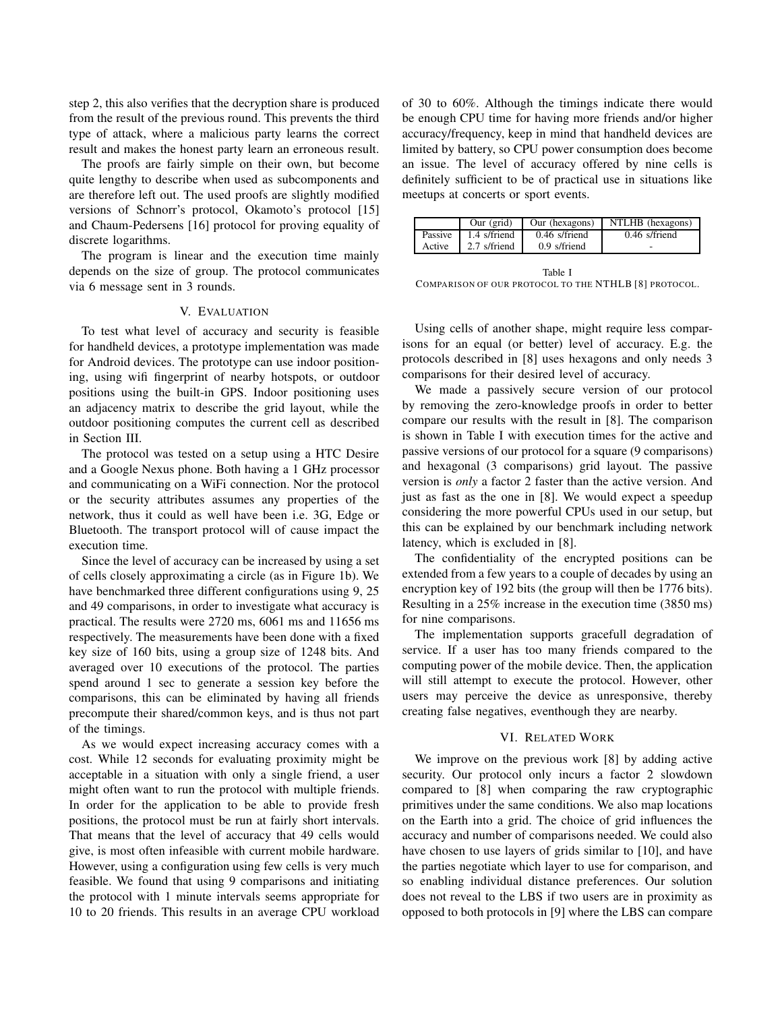step 2, this also verifies that the decryption share is produced from the result of the previous round. This prevents the third type of attack, where a malicious party learns the correct result and makes the honest party learn an erroneous result.

The proofs are fairly simple on their own, but become quite lengthy to describe when used as subcomponents and are therefore left out. The used proofs are slightly modified versions of Schnorr's protocol, Okamoto's protocol [15] and Chaum-Pedersens [16] protocol for proving equality of discrete logarithms.

The program is linear and the execution time mainly depends on the size of group. The protocol communicates via 6 message sent in 3 rounds.

#### V. EVALUATION

To test what level of accuracy and security is feasible for handheld devices, a prototype implementation was made for Android devices. The prototype can use indoor positioning, using wifi fingerprint of nearby hotspots, or outdoor positions using the built-in GPS. Indoor positioning uses an adjacency matrix to describe the grid layout, while the outdoor positioning computes the current cell as described in Section III.

The protocol was tested on a setup using a HTC Desire and a Google Nexus phone. Both having a 1 GHz processor and communicating on a WiFi connection. Nor the protocol or the security attributes assumes any properties of the network, thus it could as well have been i.e. 3G, Edge or Bluetooth. The transport protocol will of cause impact the execution time.

Since the level of accuracy can be increased by using a set of cells closely approximating a circle (as in Figure 1b). We have benchmarked three different configurations using 9, 25 and 49 comparisons, in order to investigate what accuracy is practical. The results were 2720 ms, 6061 ms and 11656 ms respectively. The measurements have been done with a fixed key size of 160 bits, using a group size of 1248 bits. And averaged over 10 executions of the protocol. The parties spend around 1 sec to generate a session key before the comparisons, this can be eliminated by having all friends precompute their shared/common keys, and is thus not part of the timings.

As we would expect increasing accuracy comes with a cost. While 12 seconds for evaluating proximity might be acceptable in a situation with only a single friend, a user might often want to run the protocol with multiple friends. In order for the application to be able to provide fresh positions, the protocol must be run at fairly short intervals. That means that the level of accuracy that 49 cells would give, is most often infeasible with current mobile hardware. However, using a configuration using few cells is very much feasible. We found that using 9 comparisons and initiating the protocol with 1 minute intervals seems appropriate for 10 to 20 friends. This results in an average CPU workload of 30 to 60%. Although the timings indicate there would be enough CPU time for having more friends and/or higher accuracy/frequency, keep in mind that handheld devices are limited by battery, so CPU power consumption does become an issue. The level of accuracy offered by nine cells is definitely sufficient to be of practical use in situations like meetups at concerts or sport events.

|         | Our (grid)   | Our (hexagons)  | NTLHB (hexagons) |
|---------|--------------|-----------------|------------------|
| Passive | 1.4 s/friend | $0.46$ s/friend | $0.46$ s/friend  |
| Active  | 2.7 s/friend | $0.9$ s/friend  |                  |

Table I COMPARISON OF OUR PROTOCOL TO THE NTHLB [8] PROTOCOL.

Using cells of another shape, might require less comparisons for an equal (or better) level of accuracy. E.g. the protocols described in [8] uses hexagons and only needs 3 comparisons for their desired level of accuracy.

We made a passively secure version of our protocol by removing the zero-knowledge proofs in order to better compare our results with the result in [8]. The comparison is shown in Table I with execution times for the active and passive versions of our protocol for a square (9 comparisons) and hexagonal (3 comparisons) grid layout. The passive version is *only* a factor 2 faster than the active version. And just as fast as the one in [8]. We would expect a speedup considering the more powerful CPUs used in our setup, but this can be explained by our benchmark including network latency, which is excluded in [8].

The confidentiality of the encrypted positions can be extended from a few years to a couple of decades by using an encryption key of 192 bits (the group will then be 1776 bits). Resulting in a 25% increase in the execution time (3850 ms) for nine comparisons.

The implementation supports gracefull degradation of service. If a user has too many friends compared to the computing power of the mobile device. Then, the application will still attempt to execute the protocol. However, other users may perceive the device as unresponsive, thereby creating false negatives, eventhough they are nearby.

#### VI. RELATED WORK

We improve on the previous work [8] by adding active security. Our protocol only incurs a factor 2 slowdown compared to [8] when comparing the raw cryptographic primitives under the same conditions. We also map locations on the Earth into a grid. The choice of grid influences the accuracy and number of comparisons needed. We could also have chosen to use layers of grids similar to [10], and have the parties negotiate which layer to use for comparison, and so enabling individual distance preferences. Our solution does not reveal to the LBS if two users are in proximity as opposed to both protocols in [9] where the LBS can compare